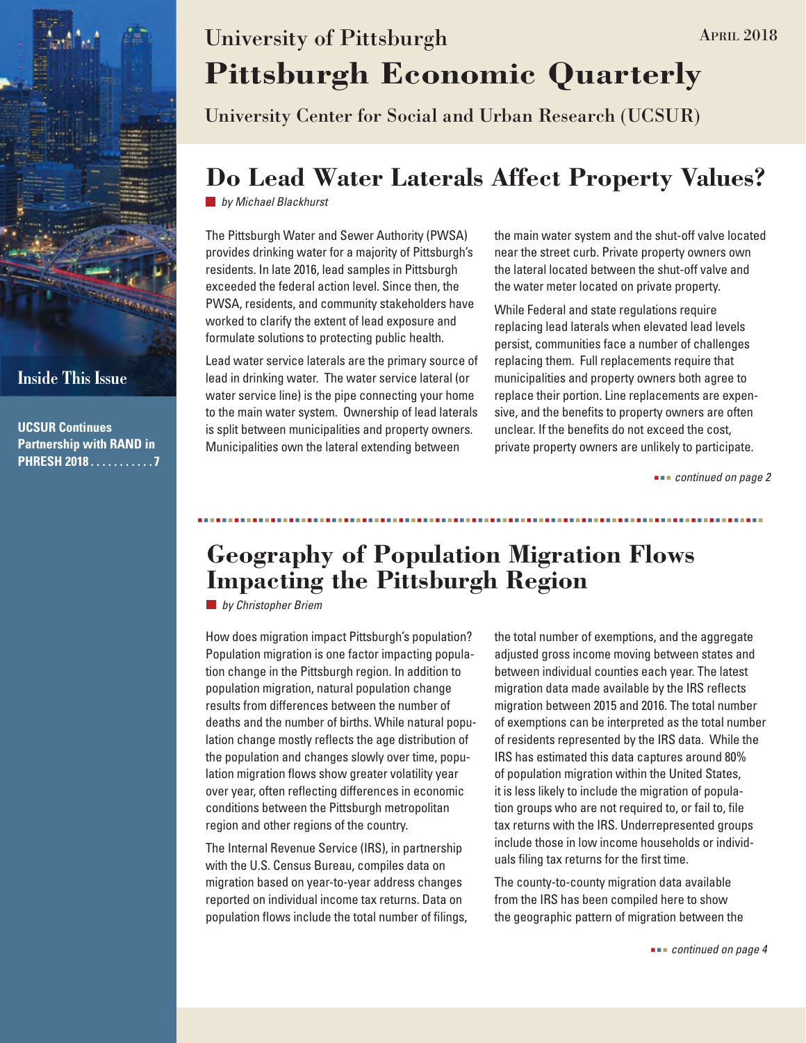

**UCSUR Continues Partnership with RAND in PHRESH 2018 . . . . . . . . . . 7**

# **Pittsburgh Economic Quarterly** University of Pittsburgh APRIL 2018

University Center for Social and Urban Research (UCSUR)

### **Do Lead Water Laterals Affect Property Values?**

*by Michael Blackhurst*

The Pittsburgh Water and Sewer Authority (PWSA) provides drinking water for a majority of Pittsburgh's residents. In late 2016, lead samples in Pittsburgh exceeded the federal action level. Since then, the PWSA, residents, and community stakeholders have worked to clarify the extent of lead exposure and formulate solutions to protecting public health.

Lead water service laterals are the primary source of lead in drinking water. The water service lateral (or water service line) is the pipe connecting your home to the main water system. Ownership of lead laterals is split between municipalities and property owners. Municipalities own the lateral extending between

the main water system and the shut-off valve located near the street curb. Private property owners own the lateral located between the shut-off valve and the water meter located on private property.

While Federal and state regulations require replacing lead laterals when elevated lead levels persist, communities face a number of challenges replacing them. Full replacements require that municipalities and property owners both agree to replace their portion. Line replacements are expensive, and the benefits to property owners are often unclear. If the benefits do not exceed the cost, private property owners are unlikely to participate.

 *continued on page 2*

### **Geography of Population Migration Flows Impacting the Pittsburgh Region**

*by Christopher Briem*

How does migration impact Pittsburgh's population? Population migration is one factor impacting population change in the Pittsburgh region. In addition to population migration, natural population change results from differences between the number of deaths and the number of births. While natural population change mostly reflects the age distribution of the population and changes slowly over time, population migration flows show greater volatility year over year, often reflecting differences in economic conditions between the Pittsburgh metropolitan region and other regions of the country.

The Internal Revenue Service (IRS), in partnership with the U.S. Census Bureau, compiles data on migration based on year-to-year address changes reported on individual income tax returns. Data on population flows include the total number of filings, the total number of exemptions, and the aggregate adjusted gross income moving between states and between individual counties each year. The latest migration data made available by the IRS reflects migration between 2015 and 2016. The total number of exemptions can be interpreted as the total number of residents represented by the IRS data. While the IRS has estimated this data captures around 80% of population migration within the United States, it is less likely to include the migration of population groups who are not required to, or fail to, file tax returns with the IRS. Underrepresented groups include those in low income households or individuals filing tax returns for the first time.

The county-to-county migration data available from the IRS has been compiled here to show the geographic pattern of migration between the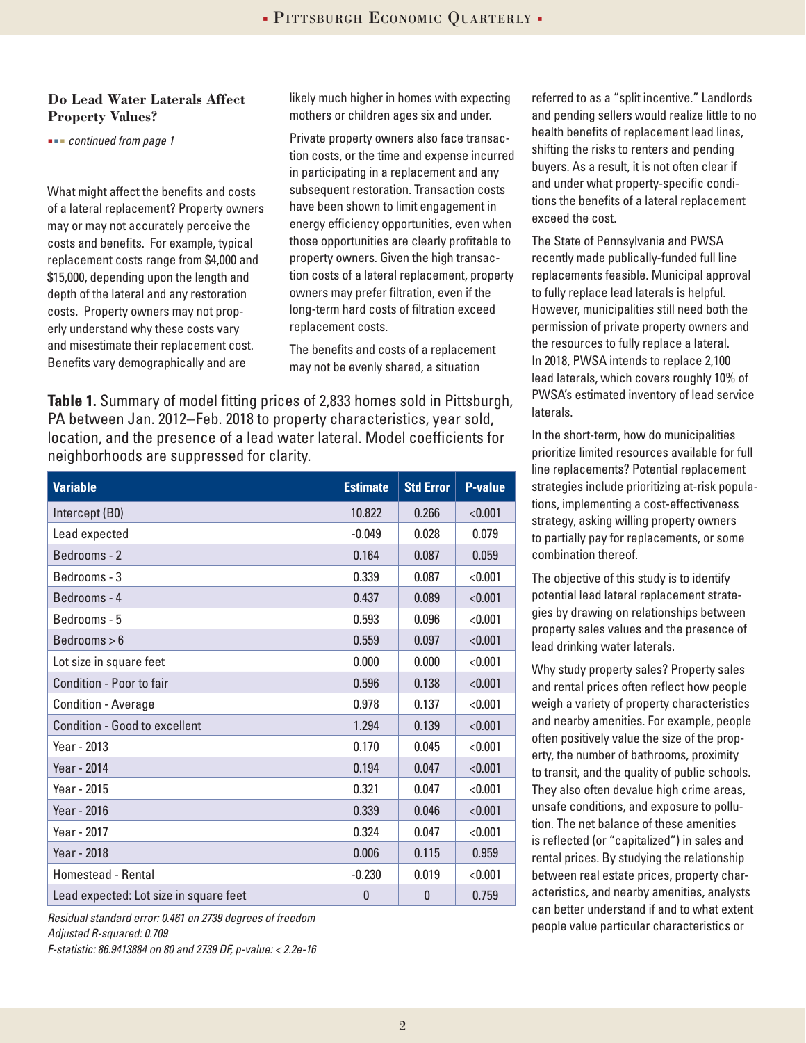#### **Do Lead Water Laterals Affect Property Values?**

 *continued from page 1*

What might affect the benefits and costs of a lateral replacement? Property owners may or may not accurately perceive the costs and benefits. For example, typical replacement costs range from \$4,000 and \$15,000, depending upon the length and depth of the lateral and any restoration costs. Property owners may not properly understand why these costs vary and misestimate their replacement cost. Benefits vary demographically and are

likely much higher in homes with expecting mothers or children ages six and under.

Private property owners also face transaction costs, or the time and expense incurred in participating in a replacement and any subsequent restoration. Transaction costs have been shown to limit engagement in energy efficiency opportunities, even when those opportunities are clearly profitable to property owners. Given the high transaction costs of a lateral replacement, property owners may prefer filtration, even if the long-term hard costs of filtration exceed replacement costs.

The benefits and costs of a replacement may not be evenly shared, a situation

**Table 1.** Summary of model fitting prices of 2,833 homes sold in Pittsburgh, PA between Jan. 2012–Feb. 2018 to property characteristics, year sold, location, and the presence of a lead water lateral. Model coefficients for neighborhoods are suppressed for clarity.

| <b>Variable</b>                        | <b>Estimate</b> | <b>Std Error</b> | <b>P-value</b> |
|----------------------------------------|-----------------|------------------|----------------|
| Intercept (B0)                         | 10.822          | 0.266            | < 0.001        |
| Lead expected                          | $-0.049$        | 0.028            | 0.079          |
| Bedrooms - 2                           | 0.164           | 0.087            | 0.059          |
| Bedrooms - 3                           | 0.339           | 0.087            | < 0.001        |
| Bedrooms - 4                           | 0.437           | 0.089            | < 0.001        |
| Bedrooms - 5                           | 0.593           | 0.096            | < 0.001        |
| Bedrooms > 6                           | 0.559           | 0.097            | < 0.001        |
| Lot size in square feet                | 0.000           | 0.000            | < 0.001        |
| Condition - Poor to fair               | 0.596           | 0.138            | < 0.001        |
| <b>Condition - Average</b>             | 0.978           | 0.137            | < 0.001        |
| <b>Condition - Good to excellent</b>   | 1.294           | 0.139            | < 0.001        |
| Year - 2013                            | 0.170           | 0.045            | < 0.001        |
| Year - 2014                            | 0.194           | 0.047            | < 0.001        |
| Year - 2015                            | 0.321           | 0.047            | < 0.001        |
| Year - 2016                            | 0.339           | 0.046            | < 0.001        |
| Year - 2017                            | 0.324           | 0.047            | < 0.001        |
| Year - 2018                            | 0.006           | 0.115            | 0.959          |
| <b>Homestead - Rental</b>              | $-0.230$        | 0.019            | < 0.001        |
| Lead expected: Lot size in square feet | 0               | $\mathbf{0}$     | 0.759          |

*Residual standard error: 0.461 on 2739 degrees of freedom*

*Adjusted R-squared: 0.709*

*F-statistic: 86.9413884 on 80 and 2739 DF, p-value: < 2.2e-16*

referred to as a "split incentive." Landlords and pending sellers would realize little to no health benefits of replacement lead lines, shifting the risks to renters and pending buyers. As a result, it is not often clear if and under what property-specific conditions the benefits of a lateral replacement exceed the cost.

The State of Pennsylvania and PWSA recently made publically-funded full line replacements feasible. Municipal approval to fully replace lead laterals is helpful. However, municipalities still need both the permission of private property owners and the resources to fully replace a lateral. In 2018, PWSA intends to replace 2,100 lead laterals, which covers roughly 10% of PWSA's estimated inventory of lead service laterals.

In the short-term, how do municipalities prioritize limited resources available for full line replacements? Potential replacement strategies include prioritizing at-risk populations, implementing a cost-effectiveness strategy, asking willing property owners to partially pay for replacements, or some combination thereof.

The objective of this study is to identify potential lead lateral replacement strategies by drawing on relationships between property sales values and the presence of lead drinking water laterals.

Why study property sales? Property sales and rental prices often reflect how people weigh a variety of property characteristics and nearby amenities. For example, people often positively value the size of the property, the number of bathrooms, proximity to transit, and the quality of public schools. They also often devalue high crime areas, unsafe conditions, and exposure to pollution. The net balance of these amenities is reflected (or "capitalized") in sales and rental prices. By studying the relationship between real estate prices, property characteristics, and nearby amenities, analysts can better understand if and to what extent people value particular characteristics or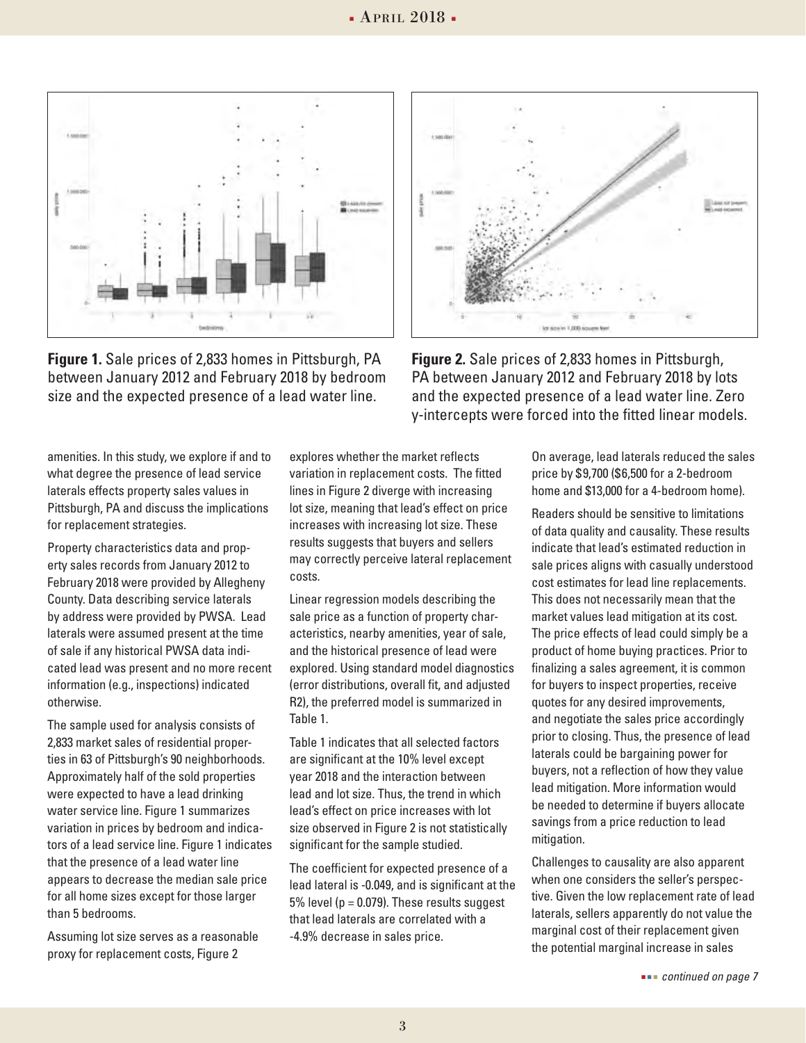

**Figure 1.** Sale prices of 2,833 homes in Pittsburgh, PA between January 2012 and February 2018 by bedroom size and the expected presence of a lead water line.



**Figure 2.** Sale prices of 2,833 homes in Pittsburgh, PA between January 2012 and February 2018 by lots and the expected presence of a lead water line. Zero y-intercepts were forced into the fitted linear models.

amenities. In this study, we explore if and to what degree the presence of lead service laterals effects property sales values in Pittsburgh, PA and discuss the implications for replacement strategies.

Property characteristics data and property sales records from January 2012 to February 2018 were provided by Allegheny County. Data describing service laterals by address were provided by PWSA. Lead laterals were assumed present at the time of sale if any historical PWSA data indicated lead was present and no more recent information (e.g., inspections) indicated otherwise.

The sample used for analysis consists of 2,833 market sales of residential properties in 63 of Pittsburgh's 90 neighborhoods. Approximately half of the sold properties were expected to have a lead drinking water service line. Figure 1 summarizes variation in prices by bedroom and indicators of a lead service line. Figure 1 indicates that the presence of a lead water line appears to decrease the median sale price for all home sizes except for those larger than 5 bedrooms.

Assuming lot size serves as a reasonable proxy for replacement costs, Figure 2

explores whether the market reflects variation in replacement costs. The fitted lines in Figure 2 diverge with increasing lot size, meaning that lead's effect on price increases with increasing lot size. These results suggests that buyers and sellers may correctly perceive lateral replacement costs.

Linear regression models describing the sale price as a function of property characteristics, nearby amenities, year of sale, and the historical presence of lead were explored. Using standard model diagnostics (error distributions, overall fit, and adjusted R2), the preferred model is summarized in Table 1.

Table 1 indicates that all selected factors are significant at the 10% level except year 2018 and the interaction between lead and lot size. Thus, the trend in which lead's effect on price increases with lot size observed in Figure 2 is not statistically significant for the sample studied.

The coefficient for expected presence of a lead lateral is -0.049, and is significant at the 5% level ( $p = 0.079$ ). These results suggest that lead laterals are correlated with a -4.9% decrease in sales price.

On average, lead laterals reduced the sales price by \$9,700 (\$6,500 for a 2-bedroom home and \$13,000 for a 4-bedroom home).

Readers should be sensitive to limitations of data quality and causality. These results indicate that lead's estimated reduction in sale prices aligns with casually understood cost estimates for lead line replacements. This does not necessarily mean that the market values lead mitigation at its cost. The price effects of lead could simply be a product of home buying practices. Prior to finalizing a sales agreement, it is common for buyers to inspect properties, receive quotes for any desired improvements, and negotiate the sales price accordingly prior to closing. Thus, the presence of lead laterals could be bargaining power for buyers, not a reflection of how they value lead mitigation. More information would be needed to determine if buyers allocate savings from a price reduction to lead mitigation.

Challenges to causality are also apparent when one considers the seller's perspective. Given the low replacement rate of lead laterals, sellers apparently do not value the marginal cost of their replacement given the potential marginal increase in sales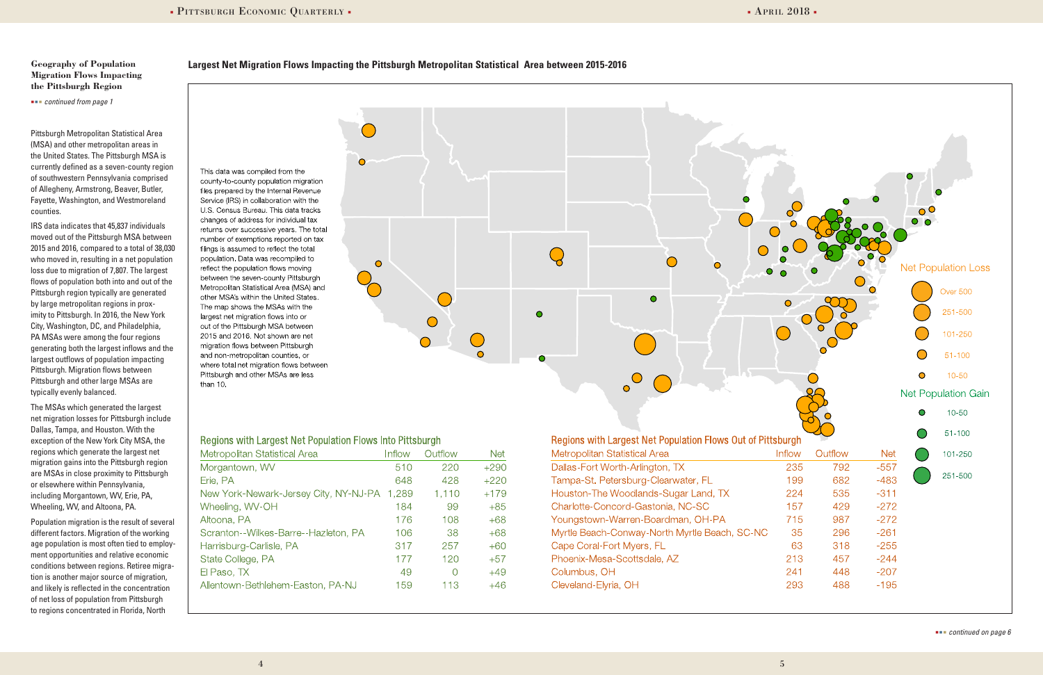#### **Largest Net Migration Flows Impacting the Pittsburgh Metropolitan Statistical Area between 2015-2016**

 $\bigcirc$ 



#### **Geography of Population Migration Flows Impacting the Pittsburgh Region**

 *continued from page 1*

Pittsburgh Metropolitan Statistical Area (MSA) and other metropolitan areas in the United States. The Pittsburgh MSA is currently defined as a seven-county region of southwestern Pennsylvania comprised of Allegheny, Armstrong, Beaver, Butler, Fayette, Washington, and Westmoreland counties.

IRS data indicates that 45,837 individuals moved out of the Pittsburgh MSA between 2015 and 2016, compared to a total of 38,030 who moved in, resulting in a net population loss due to migration of 7,807. The largest flows of population both into and out of the Pittsburgh region typically are generated by large metropolitan regions in proximity to Pittsburgh. In 2016, the New York City, Washington, DC, and Philadelphia, PA MSAs were among the four regions generating both the largest inflows and the largest outflows of population impacting Pittsburgh. Migration flows between Pittsburgh and other large MSAs are typically evenly balanced.

The MSAs which generated the largest net migration losses for Pittsburgh include Dallas, Tampa, and Houston. With the exception of the New York City MSA, the regions which generate the largest net migration gains into the Pittsburgh region are MSAs in close proximity to Pittsburgh or elsewhere within Pennsylvania, including Morgantown, WV, Erie, PA, Wheeling, WV, and Altoona, PA.

Population migration is the result of several different factors. Migration of the working age population is most often tied to employment opportunities and relative economic conditions between regions. Retiree migration is another major source of migration, and likely is reflected in the concentration of net loss of population from Pittsburgh to regions concentrated in Florida, North

This data was compiled from the county-to-county population migration files prepared by the Internal Revenue Service (IRS) in collaboration with the U.S. Census Bureau. This data tracks changes of address for individual tax returns over successive years. The total number of exemptions reported on tax filings is assumed to reflect the total population. Data was recompiled to reflect the population flows moving between the seven-county Pittsburgh Metropolitan Statistical Area (MSA) and other MSA's within the United States. The map shows the MSAs with the largest net migration flows into or out of the Pittsburgh MSA between 2015 and 2016. Not shown are net migration flows between Pittsburgh and non-metropolitan counties, or where total net migration flows between Pittsburgh and other MSAs are less than 10.

#### **Regions with Largest Net Population Flows Into Pittsburgh**

| Metropolitan Statistical Area         | Inflow | Outflow | Net    |
|---------------------------------------|--------|---------|--------|
| Morgantown, WV                        | 510    | 220     | $+290$ |
| Erie, PA                              | 648    | 428     | $+220$ |
| New York-Newark-Jersey City, NY-NJ-PA | 1,289  | 1,110   | $+179$ |
| Wheeling, WV-OH                       | 184    | 99      | $+85$  |
| Altoona, PA                           | 176    | 108     | $+68$  |
| Scranton--Wilkes-Barre--Hazleton, PA  | 106    | 38      | $+68$  |
| Harrisburg-Carlisle, PA               | 317    | 257     | $+60$  |
| State College, PA                     | 177    | 120     | $+57$  |
| El Paso, TX                           | 49     | O       | $+49$  |
| Allentown-Bethlehem-Easton, PA-NJ     | 159    | 113     | $+46$  |
|                                       |        |         |        |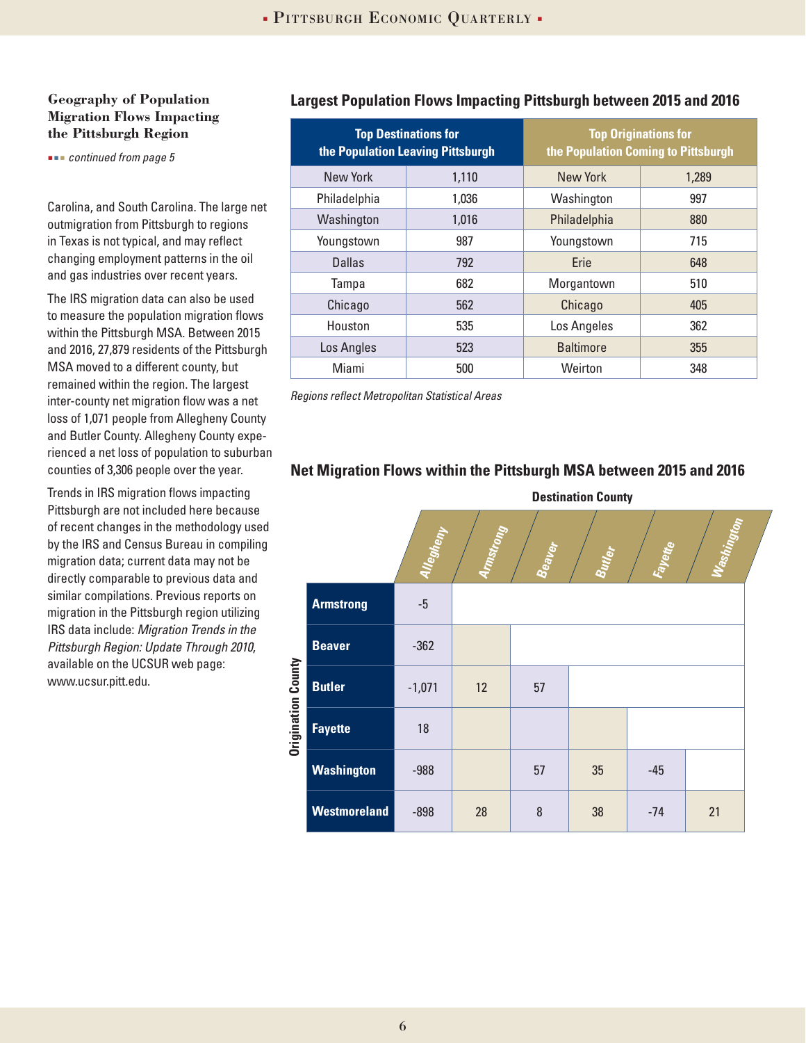#### **Geography of Population Migration Flows Impacting the Pittsburgh Region**

 *continued from page 5*

Carolina, and South Carolina. The large net outmigration from Pittsburgh to regions in Texas is not typical, and may reflect changing employment patterns in the oil and gas industries over recent years.

The IRS migration data can also be used to measure the population migration flows within the Pittsburgh MSA. Between 2015 and 2016, 27,879 residents of the Pittsburgh MSA moved to a different county, but remained within the region. The largest inter-county net migration flow was a net loss of 1,071 people from Allegheny County and Butler County. Allegheny County experienced a net loss of population to suburban counties of 3,306 people over the year.

Trends in IRS migration flows impacting Pittsburgh are not included here because of recent changes in the methodology used by the IRS and Census Bureau in compiling migration data; current data may not be directly comparable to previous data and similar compilations. Previous reports on migration in the Pittsburgh region utilizing IRS data include: *Migration Trends in the Pittsburgh Region: Update Through 2010*, available on the UCSUR web page: www.ucsur.pitt.edu.

#### **Largest Population Flows Impacting Pittsburgh between 2015 and 2016**

|              | <b>Top Destinations for</b><br>the Population Leaving Pittsburgh |                  | <b>Top Originations for</b><br>the Population Coming to Pittsburgh |  |
|--------------|------------------------------------------------------------------|------------------|--------------------------------------------------------------------|--|
| New York     | 1,110                                                            | New York         | 1,289                                                              |  |
| Philadelphia | 1,036                                                            | Washington       | 997                                                                |  |
| Washington   | 1,016                                                            | Philadelphia     | 880                                                                |  |
| Youngstown   | 987                                                              | Youngstown       | 715                                                                |  |
| Dallas       | 792                                                              | Erie             | 648                                                                |  |
| Tampa        | 682                                                              | Morgantown       | 510                                                                |  |
| Chicago      | 562                                                              | Chicago          | 405                                                                |  |
| Houston      | 535                                                              | Los Angeles      | 362                                                                |  |
| Los Angles   | 523                                                              | <b>Baltimore</b> | 355                                                                |  |
| Miami        | 500                                                              | Weirton          | 348                                                                |  |

*Regions reflect Metropolitan Statistical Areas*

#### **Net Migration Flows within the Pittsburgh MSA between 2015 and 2016**

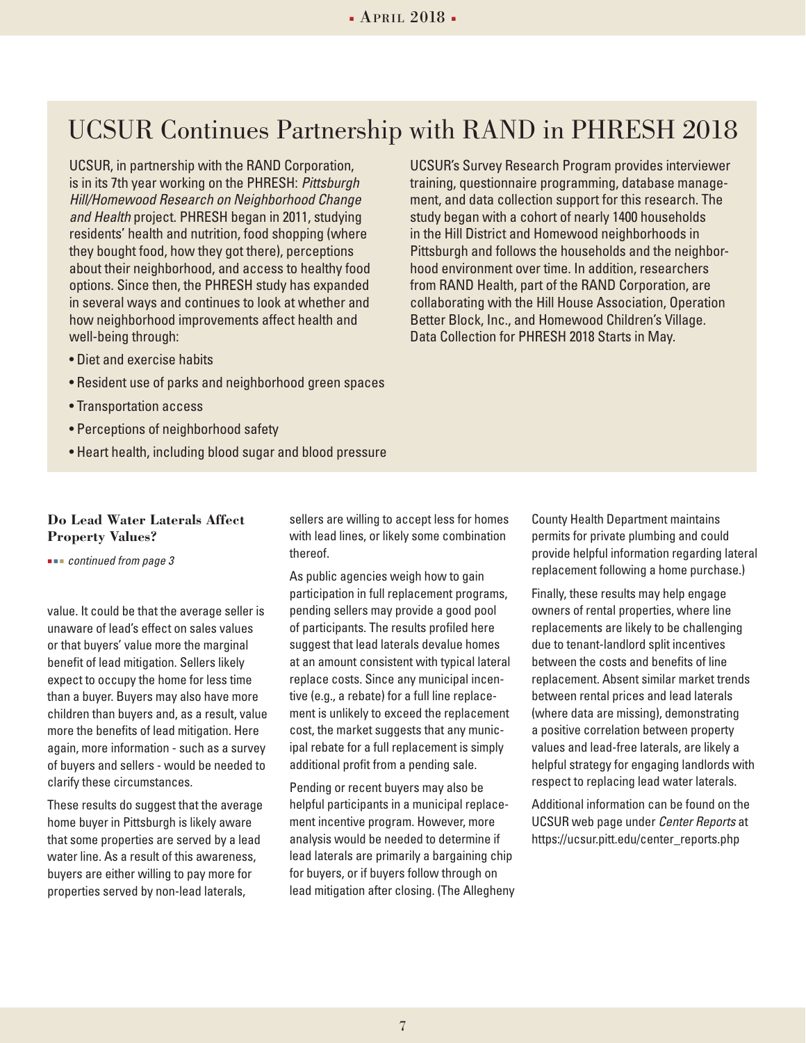## UCSUR Continues Partnership with RAND in PHRESH 2018

UCSUR, in partnership with the RAND Corporation, is in its 7th year working on the PHRESH: *Pittsburgh Hill/Homewood Research on Neighborhood Change and Health* project. PHRESH began in 2011, studying residents' health and nutrition, food shopping (where they bought food, how they got there), perceptions about their neighborhood, and access to healthy food options. Since then, the PHRESH study has expanded in several ways and continues to look at whether and how neighborhood improvements affect health and well-being through:

- Diet and exercise habits
- Resident use of parks and neighborhood green spaces
- Transportation access
- Perceptions of neighborhood safety
- Heart health, including blood sugar and blood pressure

#### **Do Lead Water Laterals Affect Property Values?**

 *continued from page 3*

value. It could be that the average seller is unaware of lead's effect on sales values or that buyers' value more the marginal benefit of lead mitigation. Sellers likely expect to occupy the home for less time than a buyer. Buyers may also have more children than buyers and, as a result, value more the benefits of lead mitigation. Here again, more information - such as a survey of buyers and sellers - would be needed to clarify these circumstances.

These results do suggest that the average home buyer in Pittsburgh is likely aware that some properties are served by a lead water line. As a result of this awareness, buyers are either willing to pay more for properties served by non-lead laterals,

sellers are willing to accept less for homes with lead lines, or likely some combination thereof.

As public agencies weigh how to gain participation in full replacement programs, pending sellers may provide a good pool of participants. The results profiled here suggest that lead laterals devalue homes at an amount consistent with typical lateral replace costs. Since any municipal incentive (e.g., a rebate) for a full line replacement is unlikely to exceed the replacement cost, the market suggests that any municipal rebate for a full replacement is simply additional profit from a pending sale.

Pending or recent buyers may also be helpful participants in a municipal replacement incentive program. However, more analysis would be needed to determine if lead laterals are primarily a bargaining chip for buyers, or if buyers follow through on lead mitigation after closing. (The Allegheny County Health Department maintains permits for private plumbing and could provide helpful information regarding lateral replacement following a home purchase.)

Finally, these results may help engage owners of rental properties, where line replacements are likely to be challenging due to tenant-landlord split incentives between the costs and benefits of line replacement. Absent similar market trends between rental prices and lead laterals (where data are missing), demonstrating a positive correlation between property values and lead-free laterals, are likely a helpful strategy for engaging landlords with respect to replacing lead water laterals.

Additional information can be found on the UCSUR web page under *Center Reports* at https://ucsur.pitt.edu/center\_reports.php

UCSUR's Survey Research Program provides interviewer training, questionnaire programming, database management, and data collection support for this research. The study began with a cohort of nearly 1400 households in the Hill District and Homewood neighborhoods in Pittsburgh and follows the households and the neighborhood environment over time. In addition, researchers from RAND Health, part of the RAND Corporation, are collaborating with the Hill House Association, Operation Better Block, Inc., and Homewood Children's Village. Data Collection for PHRESH 2018 Starts in May.